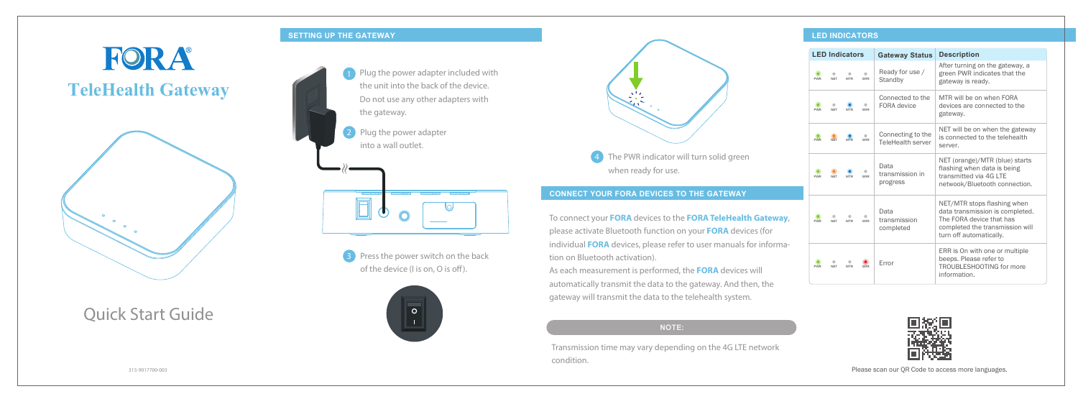Quick Start Guide

#### **SETTING UP THE GATEWAY**

# FORA **TeleHealth Gateway**



### **CONNECT YOUR FORA DEVICES TO THE GATEWAY**

### **LED INDICATORS**

To connect your **FORA** devices to the **FORA TeleHealth Gateway**, please activate Bluetooth function on your **FORA** devices (for individual **FORA** devices, please refer to user manuals for information on Bluetooth activation).

2 Plug the power adapter into a wall outlet.



**3** Press the power switch on the back of the device (I is on, O is off).



As each measurement is performed, the **FORA** devices will automatically transmit the data to the gateway. And then, the gateway will transmit the data to the telehealth system.

Transmission time may vary depending on the 4G LTE network condition.





|            |            | <b>LED Indicators</b> |                         | <b>Gateway Status</b>                         | <b>Description</b>                                                                                                                                       |
|------------|------------|-----------------------|-------------------------|-----------------------------------------------|----------------------------------------------------------------------------------------------------------------------------------------------------------|
| <b>PWR</b> | <b>NFT</b> | <b>MTR</b>            | <b>FRR</b>              | Ready for use /<br>Standby                    | After turning on the gateway, a<br>green PWR indicates that the<br>gateway is ready.                                                                     |
| <b>PWR</b> | <b>NFT</b> | <b>MTR</b>            | <b>FRR</b>              | Connected to the<br>FORA device               | MTR will be on when FORA<br>devices are connected to the<br>gateway.                                                                                     |
| <b>PWR</b> | <b>NFT</b> | <b>MTR</b>            | $\bullet$<br><b>FRR</b> | Connecting to the<br><b>TeleHealth server</b> | NET will be on when the gateway<br>is connected to the telehealth<br>server.                                                                             |
| <b>PWR</b> | <b>NFT</b> | <b>MTR</b>            | <b>FRR</b>              | Data<br>transmission in<br>progress           | NET (orange)/MTR (blue) starts<br>flashing when data is being<br>transmitted via 4G LTE<br>netwook/Bluetooth connection.                                 |
| <b>PWR</b> | <b>NFT</b> | <b>MTR</b>            | <b>FRR</b>              | Data<br>transmission<br>completed             | NET/MTR stops flashing when<br>data transmission is completed.<br>The FORA device that has<br>completed the transmission will<br>turn off automatically. |
| <b>PWR</b> | <b>NFT</b> | <b>MTR</b>            | <b>FRR</b>              | Error                                         | ERR is On with one or multiple<br>beeps. Please refer to<br>TROUBLESHOOTING for more<br>information.                                                     |



#### **NOTE:**

315-9017700-003 Please scan our QR Code to access more languages.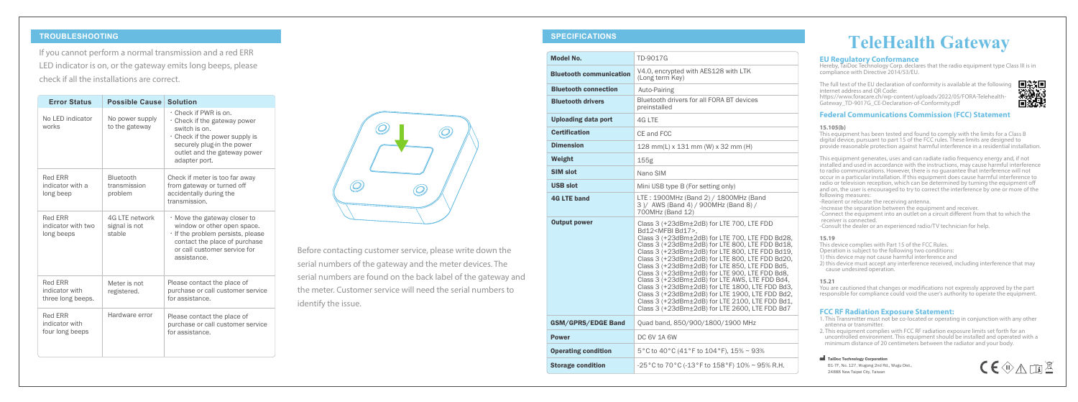#### **TROUBLESHOOTING SPECIFICATIONS**

If you cannot perform a normal transmission and a red ERR LED indicator is on, or the gateway emits long beeps, please check if all the installations are correct.

|                                                       | <b>Error Status</b>               | <b>Possible Cause</b>                     | <b>Solution</b>                                                                                                                                                                               |
|-------------------------------------------------------|-----------------------------------|-------------------------------------------|-----------------------------------------------------------------------------------------------------------------------------------------------------------------------------------------------|
| works                                                 | No LED indicator                  | No power supply<br>to the gateway         | . Check if PWR is on.<br>· Check if the gateway power<br>switch is on.<br>$\cdot$ Check if the power supply is<br>securely plug-in the power<br>outlet and the gateway power<br>adapter port. |
| Red ERR<br>long beep                                  | indicator with a                  | Bluetooth<br>transmission<br>problem      | Check if meter is too far away<br>from gateway or turned off<br>accidentally during the<br>transmission.                                                                                      |
| Red ERR<br>long beeps                                 | indicator with two                | 4G LTE network<br>signal is not<br>stable | . Move the gateway closer to<br>window or other open space.<br>· If the problem persists, please<br>contact the place of purchase<br>or call customer service for<br>assistance.              |
| <b>Red ERR</b><br>indicator with<br>three long beeps. |                                   | Meter is not<br>registered.               | Please contact the place of<br>purchase or call customer service<br>for assistance.                                                                                                           |
| <b>Red ERR</b>                                        | indicator with<br>four long beeps | Hardware error                            | Please contact the place of<br>purchase or call customer service<br>for assistance.                                                                                                           |



B1-7F, No. 127, Wugong 2nd Rd., Wugu Dist., 24888 New Taipei City, Taiwan



## **TeleHealth Gateway**

**EU Regulatory Conformance** Hereby, TaiDoc Technology Corp. declares that the radio equipment type Class III is in compliance with Directive 2014/53/EU.

You are cautioned that changes or modifications not expressly approved by the part responsible for compliance could void the user's authority to operate the equipment.

The full text of the EU declaration of conformity is available at the following internet address and QR Code:

https://www.foracare.ch/wp-content/uploads/2022/05/FORA-Telehealth-Gateway\_TD-9017G\_CE-Declaration-of-Conformity.pdf



#### **Federal Communications Commission (FCC) Statement**

#### **15.105(b)**

This equipment has been tested and found to comply with the limits for a Class B digital device, pursuant to part 15 of the FCC rules. These limits are designed to provide reasonable protection against harmful interference in a residential installation.

This equipment generates, uses and can radiate radio frequency energy and, if not installed and used in accordance with the instructions, may cause harmful interference to radio communications. However, there is no guarantee that interference will not occur in a particular installation. If this equipment does cause harmful interference to radio or television reception, which can be determined by turning the equipment off and on, the user is encouraged to try to correct the interference by one or more of the following measures:

-Reorient or relocate the receiving antenna.

- -Increase the separation between the equipment and receiver.
- -Connect the equipment into an outlet on a circuit different from that to which the receiver is connected.
- -Consult the dealer or an experienced radio/TV technician for help.

| <b>Model No.</b>               | TD-9017G                                                                                                                                                                                                                                                                                                                                                                                                                                                                                                                                                                                                                                                         |
|--------------------------------|------------------------------------------------------------------------------------------------------------------------------------------------------------------------------------------------------------------------------------------------------------------------------------------------------------------------------------------------------------------------------------------------------------------------------------------------------------------------------------------------------------------------------------------------------------------------------------------------------------------------------------------------------------------|
| <b>Bluetooth communication</b> | V4.0, encrypted with AES128 with LTK<br>(Long term Key)                                                                                                                                                                                                                                                                                                                                                                                                                                                                                                                                                                                                          |
| <b>Bluetooth connection</b>    | Auto-Pairing                                                                                                                                                                                                                                                                                                                                                                                                                                                                                                                                                                                                                                                     |
| <b>Bluetooth drivers</b>       | Bluetooth drivers for all FORA BT devices<br>preinstalled                                                                                                                                                                                                                                                                                                                                                                                                                                                                                                                                                                                                        |
| <b>Uploading data port</b>     | 4G LTE                                                                                                                                                                                                                                                                                                                                                                                                                                                                                                                                                                                                                                                           |
| <b>Certification</b>           | CF and FCC                                                                                                                                                                                                                                                                                                                                                                                                                                                                                                                                                                                                                                                       |
| <b>Dimension</b>               | 128 mm(L) x 131 mm (W) x 32 mm (H)                                                                                                                                                                                                                                                                                                                                                                                                                                                                                                                                                                                                                               |
| Weight                         | 155g                                                                                                                                                                                                                                                                                                                                                                                                                                                                                                                                                                                                                                                             |
| SIM slot                       | Nano SIM                                                                                                                                                                                                                                                                                                                                                                                                                                                                                                                                                                                                                                                         |
| <b>USB slot</b>                | Mini USB type B (For setting only)                                                                                                                                                                                                                                                                                                                                                                                                                                                                                                                                                                                                                               |
| <b>4G LTE band</b>             | LTE: 1900MHz (Band 2) / 1800MHz (Band<br>3)/ AWS (Band 4) / 900MHz (Band 8) /<br>700MHz (Band 12)                                                                                                                                                                                                                                                                                                                                                                                                                                                                                                                                                                |
| <b>Output power</b>            | Class 3 (+23dBm±2dB) for LTE 700, LTE FDD<br>Bd12 <mfbi bd17="">.<br/>Class 3 (+23dBm±2dB) for LTE 700. LTE FDD Bd28.<br/>Class 3 (+23dBm±2dB) for LTE 800, LTE FDD Bd18,<br/>Class 3 (+23dBm±2dB) for LTE 800, LTE FDD Bd19,<br/>Class 3 (+23dBm±2dB) for LTE 800, LTE FDD Bd20,<br/>Class 3 (+23dBm±2dB) for LTE 850, LTE FDD Bd5,<br/>Class 3 (+23dBm±2dB) for LTE 900, LTE FDD Bd8,<br/>Class 3 (+23dBm±2dB) for LTE AWS. LTE FDD Bd4.<br/>Class 3 (+23dBm±2dB) for LTE 1800, LTE FDD Bd3,<br/>Class 3 (+23dBm±2dB) for LTE 1900, LTE FDD Bd2,<br/>Class 3 (+23dBm±2dB) for LTE 2100, LTE FDD Bd1,<br/>Class 3 (+23dBm±2dB) for LTE 2600, LTE FDD Bd7</mfbi> |
| <b>GSM/GPRS/EDGE Band</b>      | Quad band, 850/900/1800/1900 MHz                                                                                                                                                                                                                                                                                                                                                                                                                                                                                                                                                                                                                                 |
| <b>Power</b>                   | <b>DC 6V 1A 6W</b>                                                                                                                                                                                                                                                                                                                                                                                                                                                                                                                                                                                                                                               |
| <b>Operating condition</b>     | 5°C to 40°C (41°F to 104°F), 15% ~ 93%                                                                                                                                                                                                                                                                                                                                                                                                                                                                                                                                                                                                                           |
| <b>Storage condition</b>       | -25 °C to 70 °C (-13 °F to 158 °F) 10% ~ 95% R.H.                                                                                                                                                                                                                                                                                                                                                                                                                                                                                                                                                                                                                |

#### **15.19**

This device complies with Part 15 of the FCC Rules.

- Operation is subject to the following two conditions:
- 1) this device may not cause harmful interference and
- 2) this device must accept any interference received, including interference that may cause undesired operation.

#### **15.21**

#### **FCC RF Radiation Exposure Statement:**

- 1. This Transmitter must not be co-located or operating in conjunction with any other antenna or transmitter.
- 2. This equipment complies with FCC RF radiation exposure limits set forth for an uncontrolled environment. This equipment should be installed and operated with a minimum distance of 20 centimeters between the radiator and your body.

#### TaiDoc Technology Corporation

Before contacting customer service, please write down the serial numbers of the gateway and the meter devices. The serial numbers are found on the back label of the gateway and the meter. Customer service will need the serial numbers to identify the issue.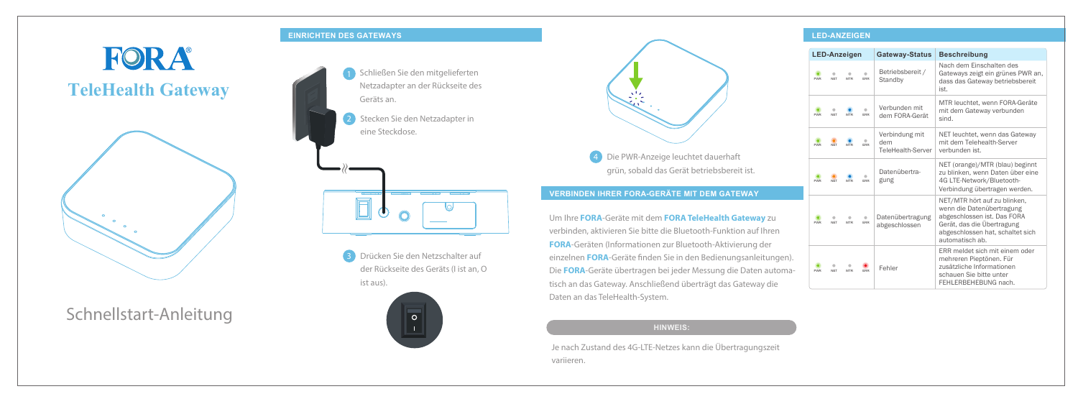Schnellstart-Anleitung

#### **EINRICHTEN DES GATEWAYS**

# **FORA TeleHealth Gateway**



### **VERBINDEN IHRER FORA-GERÄTE MIT DEM GATEWAY**

### **LED-ANZEIGEN**

Um Ihre **FORA**-Geräte mit dem **FORA TeleHealth Gateway** zu verbinden, aktivieren Sie bitte die Bluetooth-Funktion auf Ihren **FORA**-Geräten (Informationen zur Bluetooth-Aktivierung der einzelnen FORA-Geräte finden Sie in den Bedienungsanleitungen). Die **FORA**-Geräte übertragen bei jeder Messung die Daten automatisch an das Gateway. Anschließend überträgt das Gateway die Daten an das TeleHealth-System.

Je nach Zustand des 4G-LTE-Netzes kann die Übertragungszeit variieren.

- Schließen Sie den mitgelieferten Netzadapter an der Rückseite des Geräts an. 2 Stecken Sie den Netzadapter in eine Steckdose.  $\overline{\mathbb{F}}$  $\left( \mathbf{J}\right)$ 
	- 3 Drücken Sie den Netzschalter auf der Rückseite des Geräts (I ist an, O ist aus).



grün, sobald das Gerät betriebsbereit ist.



| <b>LED-Anzeigen</b> |                 |                          |                         | <b>Gateway-Status</b>                      | <b>Beschreibung</b>                                                                                                                                                           |
|---------------------|-----------------|--------------------------|-------------------------|--------------------------------------------|-------------------------------------------------------------------------------------------------------------------------------------------------------------------------------|
| PWR                 | <b>NFT</b>      | <b>MTR</b>               | ERR                     | Betriebsbereit /<br>Standby                | Nach dem Einschalten des<br>Gateways zeigt ein grünes PWR an,<br>dass das Gateway betriebsbereit<br>ist.                                                                      |
| <b>PWR</b>          | <b>NET</b>      | <b>MTR</b>               | ERR                     | Verbunden mit<br>dem FORA-Gerät            | MTR leuchtet, wenn FORA-Geräte<br>mit dem Gateway verbunden<br>sind.                                                                                                          |
| <b>PWR</b>          | <b>NFT</b>      | <b>MTR</b>               | <b>FRR</b>              | Verbindung mit<br>dem<br>TeleHealth-Server | NET leuchtet, wenn das Gateway<br>mit dem Telehealth-Server<br>verbunden ist.                                                                                                 |
| <b>PWR</b>          | <b>NFT</b>      | <b>MTR</b>               | ERR                     | Datenübertra-<br>gung                      | NET (orange)/MTR (blau) beginnt<br>zu blinken, wenn Daten über eine<br>4G LTE-Network/Bluetooth-<br>Verbindung übertragen werden.                                             |
| <b>PWR</b>          | ۰<br><b>NET</b> | $\bigcirc$<br><b>MTR</b> | $\bullet$<br><b>ERR</b> | Datenübertragung<br>abgeschlossen          | NET/MTR hört auf zu blinken,<br>wenn die Datenübertragung<br>abgeschlossen ist. Das FORA<br>Gerät, das die Übertragung<br>abgeschlossen hat, schaltet sich<br>automatisch ab. |
| <b>PWR</b>          | <b>NFT</b>      | <b>MTR</b>               | <b>FRR</b>              | Fehler                                     | ERR meldet sich mit einem oder<br>mehreren Pieptönen. Für<br>zusätzliche Informationen<br>schauen Sie bitte unter<br>FEHLERBEHEBUNG nach.                                     |

#### **HINWEIS:**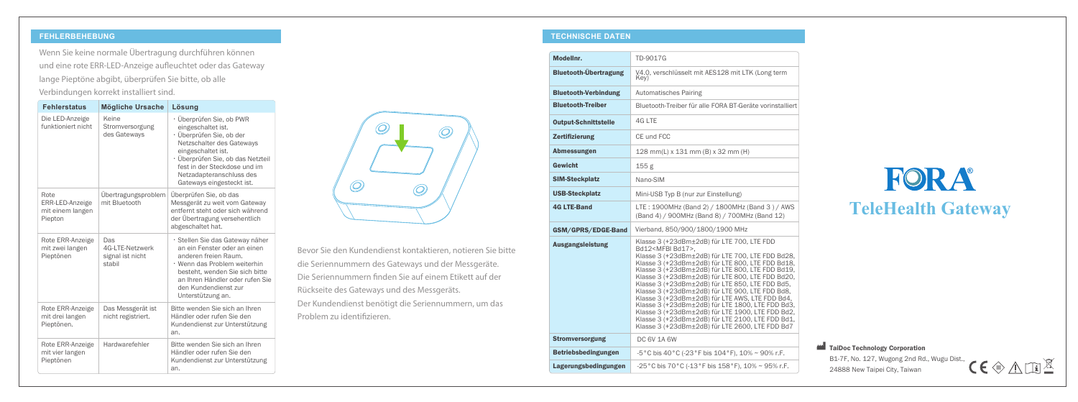### **FEHLERBEHEBUNG TECHNISCHE DATEN**

## FORA **TeleHealth Gateway**

Bevor Sie den Kundendienst kontaktieren, notieren Sie bitte die Seriennummern des Gateways und der Messgeräte. Die Seriennummern finden Sie auf einem Etikett auf der Rückseite des Gateways und des Messgeräts. Der Kundendienst benötigt die Seriennummern, um das Problem zu identifizieren.

Wenn Sie keine normale Übertragung durchführen können und eine rote ERR-LED-Anzeige aufleuchtet oder das Gateway lange Pieptöne abgibt, überprüfen Sie bitte, ob alle Verbindungen korrekt installiert sind.

|  | <b>Fehlerstatus</b>                                    | <b>Mögliche Ursache</b>                              | Lösung                                                                                                                                                                                                                                                      |  |
|--|--------------------------------------------------------|------------------------------------------------------|-------------------------------------------------------------------------------------------------------------------------------------------------------------------------------------------------------------------------------------------------------------|--|
|  | Die LED-Anzeige<br>funktioniert nicht                  | Keine<br>Stromversorgung<br>des Gateways             | · Überprüfen Sie, ob PWR<br>eingeschaltet ist.<br>· Überprüfen Sie, ob der<br>Netzschalter des Gateways<br>eingeschaltet ist.<br>· Überprüfen Sie, ob das Netzteil<br>fest in der Steckdose und im<br>Netzadapteranschluss des<br>Gateways eingesteckt ist. |  |
|  | Rote<br>ERR-LED-Anzeige<br>mit einem langen<br>Piepton | Ubertragungsproblem<br>mit Bluetooth                 | Überprüfen Sie, ob das<br>Messgerät zu weit vom Gateway<br>entfernt steht oder sich während<br>der Übertragung versehentlich<br>abgeschaltet hat.                                                                                                           |  |
|  | Rote ERR-Anzeige<br>mit zwei langen<br>Pieptönen       | Das<br>4G-LTE-Netzwerk<br>signal ist nicht<br>stabil | · Stellen Sie das Gateway näher<br>an ein Fenster oder an einen<br>anderen freien Raum.<br>· Wenn das Problem weiterhin<br>besteht, wenden Sie sich bitte<br>an Ihren Händler oder rufen Sie<br>den Kundendienst zur<br>Unterstützung an.                   |  |
|  | Rote ERR-Anzeige<br>mit drei langen<br>Pieptönen.      | Das Messgerät ist<br>nicht registriert.              | Bitte wenden Sie sich an Ihren<br>Händler oder rufen Sie den<br>Kundendienst zur Unterstützung<br>an.                                                                                                                                                       |  |
|  | Rote ERR-Anzeige<br>mit vier langen<br>Pieptönen       | Hardwarefehler                                       | Bitte wenden Sie sich an Ihren<br>Händler oder rufen Sie den<br>Kundendienst zur Unterstützung<br>an.                                                                                                                                                       |  |



TaiDoc Technology Corporation B1-7F, No. 127, Wugong 2nd Rd., Wugu Dist., 24888 New Taipei City, Taiwan



| Modellnr.                    | TD-9017G                                                                                                                                                                                                                                                                                                                                                                                                                                                                                                                                                                                                                                                                     |
|------------------------------|------------------------------------------------------------------------------------------------------------------------------------------------------------------------------------------------------------------------------------------------------------------------------------------------------------------------------------------------------------------------------------------------------------------------------------------------------------------------------------------------------------------------------------------------------------------------------------------------------------------------------------------------------------------------------|
| <b>Bluetooth-Übertragung</b> | V4.0, verschlüsselt mit AES128 mit LTK (Long term<br>Key)                                                                                                                                                                                                                                                                                                                                                                                                                                                                                                                                                                                                                    |
| <b>Bluetooth-Verbindung</b>  | Automatisches Pairing                                                                                                                                                                                                                                                                                                                                                                                                                                                                                                                                                                                                                                                        |
| <b>Bluetooth-Treiber</b>     | Bluetooth-Treiber für alle FORA BT-Geräte vorinstalliert                                                                                                                                                                                                                                                                                                                                                                                                                                                                                                                                                                                                                     |
| <b>Output-Schnittstelle</b>  | 4G LTE                                                                                                                                                                                                                                                                                                                                                                                                                                                                                                                                                                                                                                                                       |
| <b>Zertifizierung</b>        | CE und FCC                                                                                                                                                                                                                                                                                                                                                                                                                                                                                                                                                                                                                                                                   |
| <b>Abmessungen</b>           | 128 mm(L) x 131 mm (B) x 32 mm (H)                                                                                                                                                                                                                                                                                                                                                                                                                                                                                                                                                                                                                                           |
| Gewicht                      | 155 g                                                                                                                                                                                                                                                                                                                                                                                                                                                                                                                                                                                                                                                                        |
| <b>SIM-Steckplatz</b>        | Nano-SIM                                                                                                                                                                                                                                                                                                                                                                                                                                                                                                                                                                                                                                                                     |
| <b>USB-Steckplatz</b>        | Mini-USB Typ B (nur zur Einstellung)                                                                                                                                                                                                                                                                                                                                                                                                                                                                                                                                                                                                                                         |
| <b>4G LTE-Band</b>           | LTE: 1900MHz (Band 2) / 1800MHz (Band 3) / AWS<br>(Band 4) / 900MHz (Band 8) / 700MHz (Band 12)                                                                                                                                                                                                                                                                                                                                                                                                                                                                                                                                                                              |
| GSM/GPRS/EDGE-Band           | Vierband, 850/900/1800/1900 MHz                                                                                                                                                                                                                                                                                                                                                                                                                                                                                                                                                                                                                                              |
| <b>Ausgangsleistung</b>      | Klasse 3 (+23dBm±2dB) für LTE 700, LTE FDD<br>Bd12 <mfbi bd17="">.<br/>Klasse 3 (+23dBm±2dB) für LTE 700, LTE FDD Bd28,<br/>Klasse 3 (+23dBm±2dB) für LTE 800, LTE FDD Bd18,<br/>Klasse 3 (+23dBm±2dB) für LTE 800, LTE FDD Bd19,<br/>Klasse 3 (+23dBm±2dB) für LTE 800, LTE FDD Bd20,<br/>Klasse 3 (+23dBm±2dB) für LTE 850, LTE FDD Bd5,<br/>Klasse 3 (+23dBm±2dB) für LTE 900, LTE FDD Bd8,<br/>Klasse 3 (+23dBm±2dB) für LTE AWS, LTE FDD Bd4,<br/>Klasse 3 (+23dBm±2dB) für LTE 1800, LTE FDD Bd3,<br/>Klasse 3 (+23dBm±2dB) für LTE 1900, LTE FDD Bd2,<br/>Klasse 3 (+23dBm±2dB) für LTE 2100, LTE FDD Bd1,<br/>Klasse 3 (+23dBm+2dB) für LTE 2600. LTE FDD Bd7</mfbi> |
| <b>Stromversorgung</b>       | <b>DC 6V 1A 6W</b>                                                                                                                                                                                                                                                                                                                                                                                                                                                                                                                                                                                                                                                           |
| <b>Betriebsbedingungen</b>   | -5 °C bis 40 °C (-23 °F bis 104 °F), 10% ~ 90% r.F.                                                                                                                                                                                                                                                                                                                                                                                                                                                                                                                                                                                                                          |
| Lagerungsbedingungen         | -25°C bis 70°C (-13°F bis 158°F), 10% ~ 95% r.F.                                                                                                                                                                                                                                                                                                                                                                                                                                                                                                                                                                                                                             |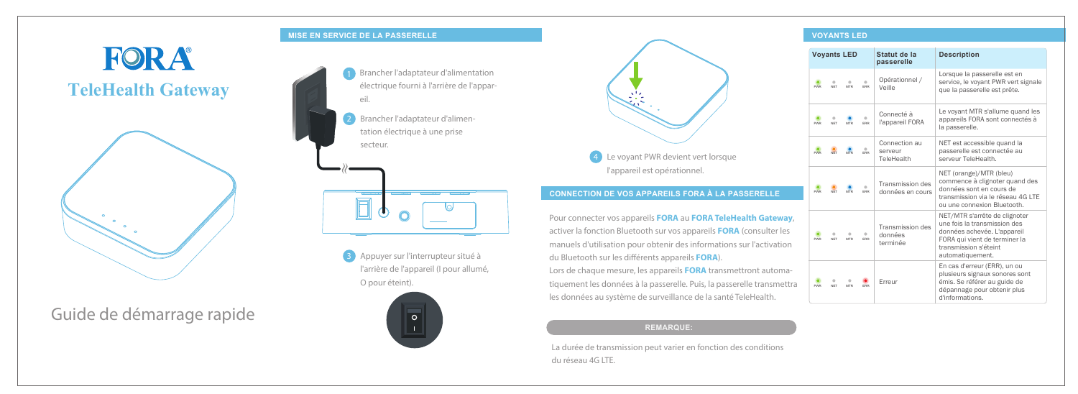Guide de démarrage rapide

### **MISE EN SERVICE DE LA PASSERELLE**

# **FORA TeleHealth Gateway**



### **CONNECTION DE VOS APPAREILS FORA À LA PASSERELLE**

### **VOYANTS LED**

Pour connecter vos appareils **FORA** au **FORA TeleHealth Gateway**, activer la fonction Bluetooth sur vos appareils **FORA** (consulter les manuels d'utilisation pour obtenir des informations sur l'activation du Bluetooth sur les diérents appareils **FORA**).

**3** Appuyer sur l'interrupteur situé à l'arrière de l'appareil (I pour allumé, O pour éteint).



Lors de chaque mesure, les appareils **FORA** transmettront automatiquement les données à la passerelle. Puis, la passerelle transmettra les données au système de surveillance de la santé TeleHealth.

2 Brancher l'adaptateur d'alimentation électrique à une prise secteur. Brancher l'adaptateur d'alimentation électrique fourni à l'arrière de l'appareil.



La durée de transmission peut varier en fonction des conditions du réseau 4G LTE.



| <b>Voyants LED</b> |            |            |            | Statut de la<br>passerelle              | <b>Description</b>                                                                                                                                                         |
|--------------------|------------|------------|------------|-----------------------------------------|----------------------------------------------------------------------------------------------------------------------------------------------------------------------------|
| <b>PWR</b>         | <b>NFT</b> | <b>MTR</b> | <b>ERR</b> | Opérationnel /<br>Veille                | Lorsque la passerelle est en<br>service, le voyant PWR vert signale<br>que la passerelle est prête.                                                                        |
| <b>PWR</b>         | <b>NET</b> | <b>MTR</b> | <b>ERR</b> | Connecté à<br>l'appareil FORA           | Le voyant MTR s'allume quand les<br>appareils FORA sont connectés à<br>la passerelle.                                                                                      |
| <b>PWR</b>         | <b>NFT</b> | <b>MTR</b> | <b>FRR</b> | Connection au<br>serveur<br>TeleHealth  | NET est accessible quand la<br>passerelle est connectée au<br>serveur TeleHealth.                                                                                          |
| <b>PWR</b>         | <b>NFT</b> | <b>MTR</b> | <b>FRR</b> | Transmission des<br>données en cours    | NET (orange)/MTR (bleu)<br>commence à clignoter quand des<br>données sont en cours de<br>transmission via le réseau 4G LTF<br>ou une connexion Bluetooth.                  |
| <b>PWR</b>         | <b>NFT</b> | <b>MTR</b> | <b>FRR</b> | Transmission des<br>données<br>terminée | NET/MTR s'arrête de clignoter<br>une fois la transmission des<br>données achevée. L'appareil<br>FORA qui vient de terminer la<br>transmission s'éteint<br>automatiquement. |
| <b>PWR</b>         | <b>NFT</b> | <b>MTR</b> | ERR        | Erreur                                  | En cas d'erreur (ERR), un ou<br>plusieurs signaux sonores sont<br>émis. Se référer au guide de<br>dépannage pour obtenir plus<br>d'informations.                           |

### **REMARQUE:**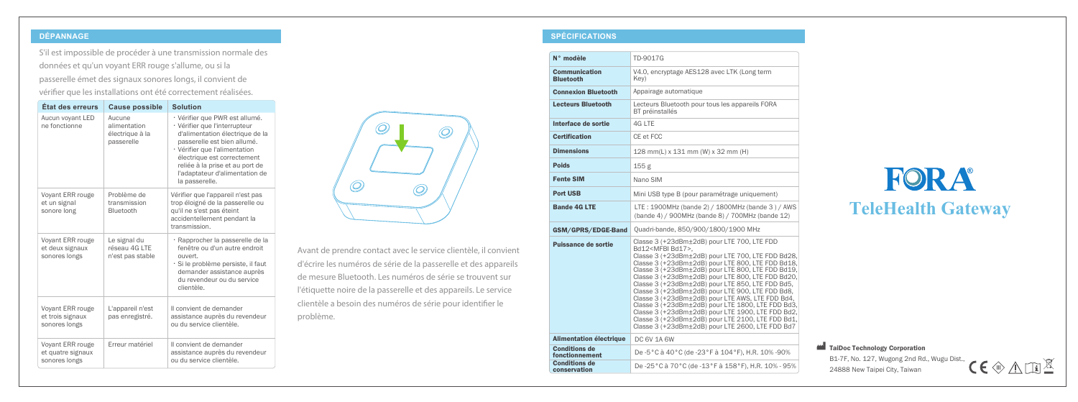### **DÉPANNAGE SPÉCIFICATIONS**

## FORA **TeleHealth Gateway**

S'il est impossible de procéder à une transmission normale des données et qu'un voyant ERR rouge s'allume, ou si la passerelle émet des signaux sonores longs, il convient de vérifier que les installations ont été correctement réalisées.

TaiDoc Technology Corporation

Avant de prendre contact avec le service clientèle, il convient d'écrire les numéros de série de la passerelle et des appareils de mesure Bluetooth. Les numéros de série se trouvent sur l'étiquette noire de la passerelle et des appareils. Le service clientèle a besoin des numéros de série pour identifier le problème.

| État des erreurs                                       | <b>Cause possible</b>                                   | <b>Solution</b>                                                                                                                                                                                                                                                                          |
|--------------------------------------------------------|---------------------------------------------------------|------------------------------------------------------------------------------------------------------------------------------------------------------------------------------------------------------------------------------------------------------------------------------------------|
| Aucun voyant LED<br>ne fonctionne                      | Aucune<br>alimentation<br>électrique à la<br>passerelle | · Vérifier que PWR est allumé.<br>· Vérifier que l'interrupteur<br>d'alimentation électrique de la<br>passerelle est bien allumé.<br>· Vérifier que l'alimentation<br>électrique est correctement<br>reliée à la prise et au port de<br>l'adaptateur d'alimentation de<br>la passerelle. |
| Voyant ERR rouge<br>et un signal<br>sonore long        | Problème de<br>transmission<br>Bluetooth                | Vérifier que l'appareil n'est pas<br>trop éloigné de la passerelle ou<br>qu'il ne s'est pas éteint<br>accidentellement pendant la<br>transmission.                                                                                                                                       |
| Voyant ERR rouge<br>et deux signaux<br>sonores longs   | Le signal du<br>réseau 4G LTE<br>n'est pas stable       | · Rapprocher la passerelle de la<br>fenêtre ou d'un autre endroit<br>ouvert.<br>· Si le problème persiste, il faut<br>demander assistance auprès<br>du revendeur ou du service<br>clientèle.                                                                                             |
| Voyant ERR rouge<br>et trois signaux<br>sonores longs  | L'appareil n'est<br>pas enregistré.                     | Il convient de demander<br>assistance auprès du revendeur<br>ou du service clientèle.                                                                                                                                                                                                    |
| Voyant ERR rouge<br>et quatre signaux<br>sonores longs | Frreur matériel                                         | Il convient de demander<br>assistance auprès du revendeur<br>ou du service clientèle.                                                                                                                                                                                                    |



B1-7F, No. 127, Wugong 2nd Rd., Wugu Dist.,

24888 New Taipei City, Taiwan



| N° modèle                                | TD-9017G                                                                                                                                                                                                                                                                                                                                                                                                                                                                                                                                                                                                                                                                                 |
|------------------------------------------|------------------------------------------------------------------------------------------------------------------------------------------------------------------------------------------------------------------------------------------------------------------------------------------------------------------------------------------------------------------------------------------------------------------------------------------------------------------------------------------------------------------------------------------------------------------------------------------------------------------------------------------------------------------------------------------|
| <b>Communication</b><br><b>Bluetooth</b> | V4.0, encryptage AES128 avec LTK (Long term<br>Key)                                                                                                                                                                                                                                                                                                                                                                                                                                                                                                                                                                                                                                      |
| <b>Connexion Bluetooth</b>               | Appairage automatique                                                                                                                                                                                                                                                                                                                                                                                                                                                                                                                                                                                                                                                                    |
| <b>Lecteurs Bluetooth</b>                | Lecteurs Bluetooth pour tous les appareils FORA<br>BT préinstallés                                                                                                                                                                                                                                                                                                                                                                                                                                                                                                                                                                                                                       |
| Interface de sortie                      | 4G LTE                                                                                                                                                                                                                                                                                                                                                                                                                                                                                                                                                                                                                                                                                   |
| <b>Certification</b>                     | CE et FCC                                                                                                                                                                                                                                                                                                                                                                                                                                                                                                                                                                                                                                                                                |
| <b>Dimensions</b>                        | 128 mm(L) x 131 mm (W) x 32 mm (H)                                                                                                                                                                                                                                                                                                                                                                                                                                                                                                                                                                                                                                                       |
| <b>Poids</b>                             | 155 <sub>g</sub>                                                                                                                                                                                                                                                                                                                                                                                                                                                                                                                                                                                                                                                                         |
| <b>Fente SIM</b>                         | Nano SIM                                                                                                                                                                                                                                                                                                                                                                                                                                                                                                                                                                                                                                                                                 |
| <b>Port USB</b>                          | Mini USB type B (pour paramétrage uniquement)                                                                                                                                                                                                                                                                                                                                                                                                                                                                                                                                                                                                                                            |
| <b>Bande 4G LTE</b>                      | LTE: 1900MHz (bande 2) / 1800MHz (bande 3) / AWS<br>(bande 4) / 900MHz (bande 8) / 700MHz (bande 12)                                                                                                                                                                                                                                                                                                                                                                                                                                                                                                                                                                                     |
| GSM/GPRS/EDGE-Band                       | Quadri-bande, 850/900/1800/1900 MHz                                                                                                                                                                                                                                                                                                                                                                                                                                                                                                                                                                                                                                                      |
| Puissance de sortie                      | Classe 3 (+23dBm±2dB) pour LTE 700, LTE FDD<br>Bd12 <mfbi bd17="">,<br/>Classe 3 (+23dBm±2dB) pour LTE 700, LTE FDD Bd28,<br/>Classe 3 (+23dBm±2dB) pour LTE 800, LTE FDD Bd18,<br/>Classe 3 (+23dBm±2dB) pour LTE 800, LTE FDD Bd19,<br/>Classe 3 (+23dBm±2dB) pour LTE 800, LTE FDD Bd20,<br/>Classe 3 (+23dBm±2dB) pour LTE 850, LTE FDD Bd5,<br/>Classe 3 (+23dBm±2dB) pour LTE 900. LTE FDD Bd8.<br/>Classe 3 (+23dBm±2dB) pour LTE AWS, LTE FDD Bd4,<br/>Classe 3 (+23dBm±2dB) pour LTE 1800, LTE FDD Bd3,<br/>Classe 3 (+23dBm±2dB) pour LTE 1900, LTE FDD Bd2,<br/>Classe 3 (+23dBm±2dB) pour LTE 2100, LTE FDD Bd1,<br/>Classe 3 (+23dBm±2dB) pour LTE 2600, LTE FDD Bd7</mfbi> |
| <b>Alimentation électrique</b>           | <b>DC 6V 1A 6W</b>                                                                                                                                                                                                                                                                                                                                                                                                                                                                                                                                                                                                                                                                       |
| <b>Conditions de</b><br>fonctionnement   | De -5 °C à 40 °C (de -23 °F à 104 °F), H.R. 10% -90%                                                                                                                                                                                                                                                                                                                                                                                                                                                                                                                                                                                                                                     |
| <b>Conditions de</b><br>conservation     | De -25°C à 70°C (de -13°F à 158°F), H.R. 10% - 95%                                                                                                                                                                                                                                                                                                                                                                                                                                                                                                                                                                                                                                       |
|                                          |                                                                                                                                                                                                                                                                                                                                                                                                                                                                                                                                                                                                                                                                                          |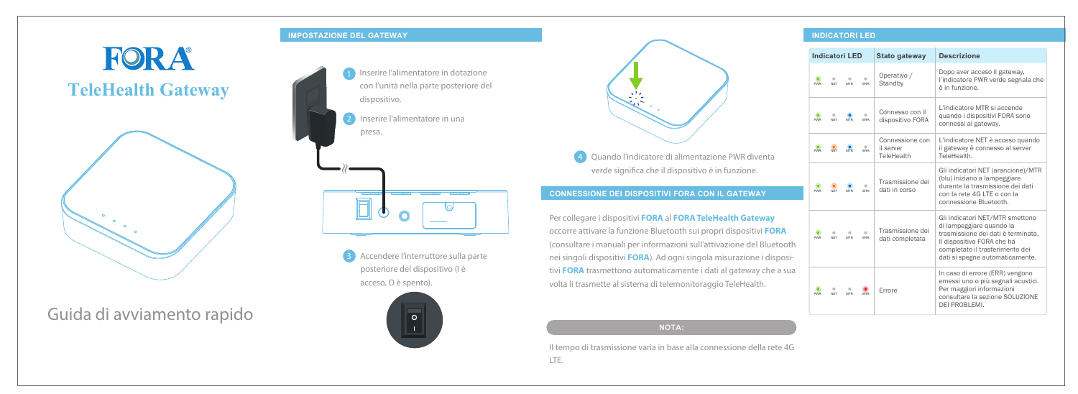Guida di avviamento rapido

### **IMPOSTAZIONE DEL GATEWAY**

# FORA **TeleHealth Gateway**



### **CONNESSIONE DEI DISPOSITIVI FORA CON IL GATEWAY**

#### **INDICATORI LED**

Per collegare i dispositivi **FORA** al **FORA TeleHealth Gateway** occorre attivare la funzione Bluetooth sui propri dispositivi **FORA** (consultare i manuali per informazioni sull'attivazione del Bluetooth nei singoli dispositivi **FORA**). Ad ogni singola misurazione i dispositivi **FORA** trasmettono automaticamente i dati al gateway che a sua volta li trasmette al sistema di telemonitoraggio TeleHealth.

**3** Accendere l'interruttore sulla parte posteriore del dispositivo (I è acceso, O è spento).





4 Quando l'indicatore di alimentazione PWR diventa verde significa che il dispositivo è in funzione.

Il tempo di trasmissione varia in base alla connessione della rete 4G LTE.



|            | <b>Indicatori LED</b> |                 |            | <b>Stato gateway</b>                       | <b>Descrizione</b>                                                                                                                                                                                    |
|------------|-----------------------|-----------------|------------|--------------------------------------------|-------------------------------------------------------------------------------------------------------------------------------------------------------------------------------------------------------|
| <b>PWR</b> | <b>NFT</b>            | <b>MTR</b>      | <b>FRR</b> | Operativo /<br>Standby                     | Dopo aver acceso il gateway,<br>l'indicatore PWR verde segnala che<br>è in funzione.                                                                                                                  |
| <b>PWR</b> | <b>NFT</b>            | <b>MTR</b>      | <b>FRR</b> | Connesso con il<br>dispositivo FORA        | L'indicatore MTR si accende<br>quando i dispositivi FORA sono<br>connessi al gateway.                                                                                                                 |
| <b>PWR</b> | <b>NFT</b>            | <b>MTR</b>      | <b>FRR</b> | Connessione con<br>il server<br>TeleHealth | L'indicatore NET è acceso quando<br>il gateway è connesso al server<br>TeleHealth.                                                                                                                    |
| <b>PWR</b> | <b>NFT</b>            | <b>MTR</b>      | <b>FRR</b> | Trasmissione dei<br>dati in corso          | Gli indicatori NET (arancione)/MTR<br>(blu) iniziano a lampeggiare<br>durante la trasmissione dei dati<br>con la rete 4G LTE o con la<br>connessione Bluetooth.                                       |
| <b>PWR</b> | <b>NET</b>            | ۵<br><b>MTR</b> | a<br>ERR   | Trasmissione dei<br>dati completata        | Gli indicatori NET/MTR smettono<br>di lampeggiare quando la<br>trasmissione dei dati è terminata.<br>Il dispositivo FORA che ha<br>completato il trasferimento dei<br>dati si spegne automaticamente. |
| <b>PWR</b> | <b>NET</b>            | ۵<br><b>MTR</b> | FRR        | <b>Frrore</b>                              | In caso di errore (ERR) vengono<br>emessi uno o più segnali acustici.<br>Per maggiori informazioni<br>consultare la sezione SOLUZIONE<br>DEI PROBLEMI.                                                |

**NOTA:**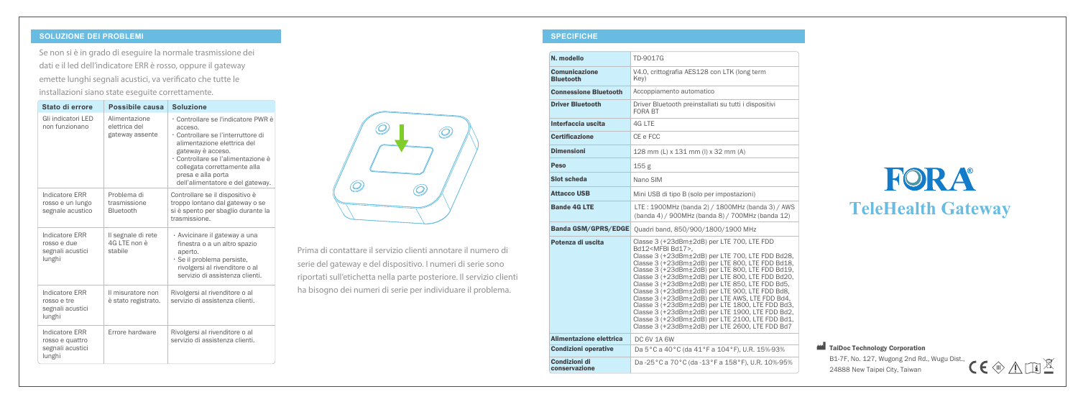#### **SOLUZIONE DEI PROBLEMI SPECIFICHE**

## FORA **TeleHealth Gateway**

Se non si è in grado di eseguire la normale trasmissione dei dati e il led dell'indicatore ERR è rosso, oppure il gateway emette lunghi segnali acustici, va verificato che tutte le installazioni siano state eseguite correttamente.

> Prima di contattare il servizio clienti annotare il numero di serie del gateway e del dispositivo. I numeri di serie sono riportati sull'etichetta nella parte posteriore. Il servizio clienti ha bisogno dei numeri di serie per individuare il problema.

TaiDoc Technology Corporation B1-7F, No. 127, Wugong 2nd Rd., Wugu Dist., 24888 New Taipei City, Taiwan



| Stato di errore                                                        | Possibile causa                                   | <b>Soluzione</b>                                                                                                                                                                                                                                                         |
|------------------------------------------------------------------------|---------------------------------------------------|--------------------------------------------------------------------------------------------------------------------------------------------------------------------------------------------------------------------------------------------------------------------------|
| Gli indicatori LED<br>non funzionano                                   | Alimentazione<br>elettrica del<br>gateway assente | · Controllare se l'indicatore PWR è<br>acceso.<br>· Controllare se l'interruttore di<br>alimentazione elettrica del<br>gateway è acceso.<br>· Controllare se l'alimentazione è<br>collegata correttamente alla<br>presa e alla porta<br>dell'alimentatore e del gateway. |
| Indicatore ERR<br>rosso e un lungo<br>segnale acustico                 | Problema di<br>trasmissione<br>Bluetooth          | Controllare se il dispositivo è<br>troppo lontano dal gateway o se<br>si è spento per sbaglio durante la<br>trasmissione.                                                                                                                                                |
| Indicatore ERR<br>rosso e due<br>segnali acustici<br>lunghi            | Il segnale di rete<br>4G LTE non è<br>stabile     | · Avvicinare il gateway a una<br>finestra o a un altro spazio<br>aperto.<br>· Se il problema persiste,<br>rivolgersi al rivenditore o al<br>servizio di assistenza clienti.                                                                                              |
| Indicatore ERR<br>rosso e tre<br>segnali acustici<br>lunghi            | Il misuratore non<br>è stato registrato.          | Rivolgersi al rivenditore o al<br>servizio di assistenza clienti.                                                                                                                                                                                                        |
| <b>Indicatore ERR</b><br>rosso e quattro<br>segnali acustici<br>lunghi | Errore hardware                                   | Rivolgersi al rivenditore o al<br>servizio di assistenza clienti.                                                                                                                                                                                                        |



| N. modello                               | TD-9017G                                                                                                                                                                                                                                                                                                                                                                                                                                                                                                                                                                                                                                                                     |
|------------------------------------------|------------------------------------------------------------------------------------------------------------------------------------------------------------------------------------------------------------------------------------------------------------------------------------------------------------------------------------------------------------------------------------------------------------------------------------------------------------------------------------------------------------------------------------------------------------------------------------------------------------------------------------------------------------------------------|
| <b>Comunicazione</b><br><b>Bluetooth</b> | V4.0, crittografia AES128 con LTK (long term<br>Kev)                                                                                                                                                                                                                                                                                                                                                                                                                                                                                                                                                                                                                         |
| <b>Connessione Bluetooth</b>             | Accoppiamento automatico                                                                                                                                                                                                                                                                                                                                                                                                                                                                                                                                                                                                                                                     |
| <b>Driver Bluetooth</b>                  | Driver Bluetooth preinstallati su tutti i dispositivi<br><b>FORA BT</b>                                                                                                                                                                                                                                                                                                                                                                                                                                                                                                                                                                                                      |
| Interfaccia uscita                       | 4G LTE                                                                                                                                                                                                                                                                                                                                                                                                                                                                                                                                                                                                                                                                       |
| <b>Certificazione</b>                    | CE e FCC                                                                                                                                                                                                                                                                                                                                                                                                                                                                                                                                                                                                                                                                     |
| <b>Dimensioni</b>                        | 128 mm (L) x 131 mm (I) x 32 mm (A)                                                                                                                                                                                                                                                                                                                                                                                                                                                                                                                                                                                                                                          |
| Peso                                     | 155 <sub>g</sub>                                                                                                                                                                                                                                                                                                                                                                                                                                                                                                                                                                                                                                                             |
| Slot scheda                              | Nano SIM                                                                                                                                                                                                                                                                                                                                                                                                                                                                                                                                                                                                                                                                     |
| <b>Attacco USB</b>                       | Mini USB di tipo B (solo per impostazioni)                                                                                                                                                                                                                                                                                                                                                                                                                                                                                                                                                                                                                                   |
| <b>Bande 4G LTE</b>                      | LTE: 1900MHz (banda 2) / 1800MHz (banda 3) / AWS<br>(banda 4) / 900MHz (banda 8) / 700MHz (banda 12)                                                                                                                                                                                                                                                                                                                                                                                                                                                                                                                                                                         |
| <b>Banda GSM/GPRS/EDGE</b>               | Quadri band, 850/900/1800/1900 MHz                                                                                                                                                                                                                                                                                                                                                                                                                                                                                                                                                                                                                                           |
| Potenza di uscita                        | Classe 3 (+23dBm±2dB) per LTE 700, LTE FDD<br>Bd12 <mfbi bd17="">,<br/>Classe 3 (+23dBm±2dB) per LTE 700, LTE FDD Bd28,<br/>Classe 3 (+23dBm±2dB) per LTE 800, LTE FDD Bd18,<br/>Classe 3 (+23dBm±2dB) per LTE 800, LTE FDD Bd19,<br/>Classe 3 (+23dBm±2dB) per LTE 800, LTE FDD Bd20,<br/>Classe 3 (+23dBm±2dB) per LTE 850, LTE FDD Bd5,<br/>Classe 3 (+23dBm±2dB) per LTE 900. LTE FDD Bd8.<br/>Classe 3 (+23dBm±2dB) per LTE AWS, LTE FDD Bd4,<br/>Classe 3 (+23dBm±2dB) per LTE 1800, LTE FDD Bd3,<br/>Classe 3 (+23dBm±2dB) per LTE 1900, LTE FDD Bd2,<br/>Classe 3 (+23dBm±2dB) per LTE 2100, LTE FDD Bd1,<br/>Classe 3 (+23dBm±2dB) per LTE 2600, LTE FDD Bd7</mfbi> |
| Alimentazione elettrica                  | <b>DC 6V 1A 6W</b>                                                                                                                                                                                                                                                                                                                                                                                                                                                                                                                                                                                                                                                           |
| <b>Condizioni operative</b>              | Da 5°C a 40°C (da 41°F a 104°F), U.R. 15%-93%                                                                                                                                                                                                                                                                                                                                                                                                                                                                                                                                                                                                                                |
| Condizioni di<br>conservazione           | Da -25 °C a 70 °C (da -13 °F a 158 °F), U.R. 10%-95%                                                                                                                                                                                                                                                                                                                                                                                                                                                                                                                                                                                                                         |
|                                          |                                                                                                                                                                                                                                                                                                                                                                                                                                                                                                                                                                                                                                                                              |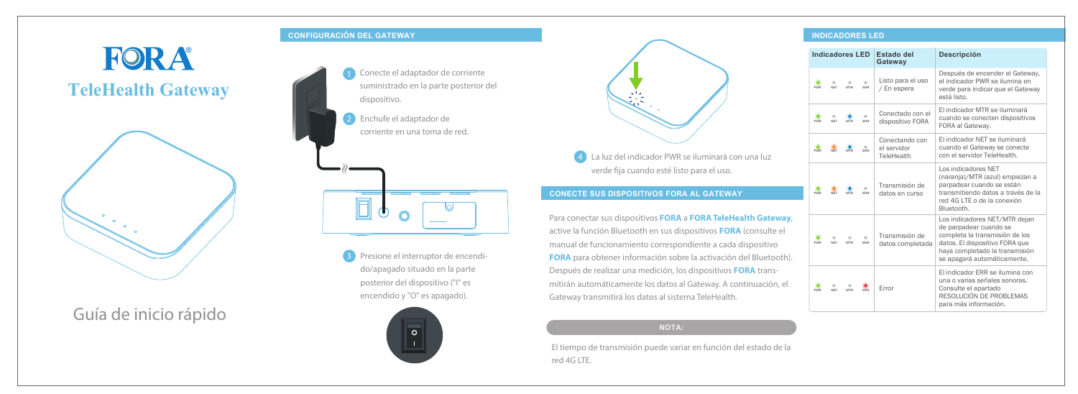Guía de inicio rápido

### **CONFIGURACIÓN DEL GATEWAY**

# FORA **TeleHealth Gateway**





### **CONECTE SUS DISPOSITIVOS FORA AL GATEWAY**

#### **INDICADORES LED**

Para conectar sus dispositivos **FORA** a **FORA TeleHealth Gateway**, active la función Bluetooth en sus dispositivos **FORA** (consulte el manual de funcionamiento correspondiente a cada dispositivo **FORA** para obtener información sobre la activación del Bluetooth). Después de realizar una medición, los dispositivos **FORA** transmitirán automáticamente los datos al Gateway. A continuación, el Gateway transmitirá los datos al sistema TeleHealth.

2 Enchufe el adaptador de corriente en una toma de red.



**3** Presione el interruptor de encendido/apagado situado en la parte posterior del dispositivo ("I" es encendido y "O" es apagado).





4 La luz del indicador PWR se iluminará con una luz verde fija cuando esté listo para el uso.

El tiempo de transmisión puede variar en función del estado de la red 4G LTE.



| <b>Indicadores LED</b> |                 |            |                    | <b>Estado del</b><br>Gateway                | <b>Descripción</b>                                                                                                                                                                           |
|------------------------|-----------------|------------|--------------------|---------------------------------------------|----------------------------------------------------------------------------------------------------------------------------------------------------------------------------------------------|
| <b>PWR</b>             | ۰<br><b>NET</b> | <b>MTR</b> | $\triangle$<br>ERR | Listo para el uso<br>/ En espera            | Después de encender el Gateway.<br>el indicador PWR se ilumina en<br>verde para indicar que el Gateway<br>está listo.                                                                        |
| <b>PWR</b>             | ۰<br><b>NFT</b> | <b>MTR</b> | $\triangle$<br>ERR | Conectado con el<br>dispositivo FORA        | El indicador MTR se iluminará<br>cuando se conecten dispositivos<br>FORA al Gateway.                                                                                                         |
| <b>PWR</b>             | <b>NFT</b>      | <b>MTR</b> | ۰<br>ERR           | Conectando con<br>el servidor<br>TeleHealth | El indicador NET se iluminará<br>cuando el Gateway se conecte<br>con el servidor TeleHealth.                                                                                                 |
| <b>PWR</b>             | <b>NFT</b>      | <b>MTR</b> | <b>FRR</b>         | Transmisión de<br>datos en curso            | Los indicadores NET<br>(naranja)/MTR (azul) empiezan a<br>parpadear cuando se están<br>transmitiendo datos a través de la<br>red 4G LTE o de la conexión<br>Bluetooth.                       |
| <b>PWR</b>             | ۰<br><b>NET</b> | <b>MTR</b> | $\triangle$<br>ERR | Transmisión de<br>datos completada          | Los indicadores NET/MTR dejan<br>de parpadear cuando se<br>completa la transmisión de los<br>datos. El dispositivo FORA que<br>haya completado la transmisión<br>se apagará automáticamente. |
| <b>PWR</b>             | <b>NFT</b>      | <b>MTR</b> | ERR                | Frror                                       | El indicador ERR se ilumina con<br>una o varias señales sonoras.<br>Consulte el apartado<br>RESOLUCIÓN DE PROBLEMAS<br>para más información.                                                 |

#### **NOTA:**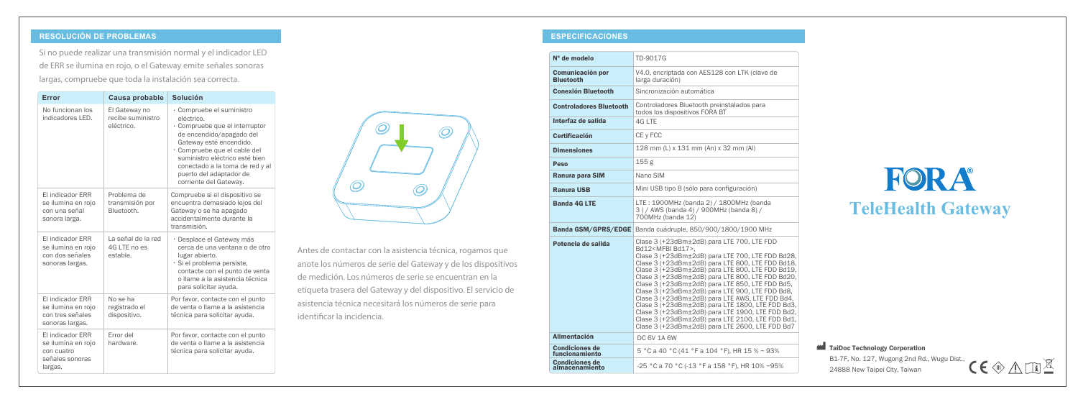### **RESOLUCIÓN DE PROBLEMAS ESPECIFICACIONES**

## FORA **TeleHealth Gateway**

Si no puede realizar una transmisión normal y el indicador LED de ERR se ilumina en rojo, o el Gateway emite señales sonoras largas, compruebe que toda la instalación sea correcta.

| Error                                                                              | Causa probable                                   | <b>Solución</b>                                                                                                                                                                                                                                                                            |
|------------------------------------------------------------------------------------|--------------------------------------------------|--------------------------------------------------------------------------------------------------------------------------------------------------------------------------------------------------------------------------------------------------------------------------------------------|
| No funcionan los<br>indicadores I FD.                                              | El Gateway no<br>recibe suministro<br>eléctrico. | · Compruebe el suministro<br>eléctrico.<br>· Compruebe que el interruptor<br>de encendido/apagado del<br>Gateway esté encendido.<br>· Compruebe que el cable del<br>suministro eléctrico esté bien<br>conectado a la toma de red y al<br>puerto del adaptador de<br>corriente del Gateway. |
| El indicador ERR<br>se ilumina en rojo<br>con una señal<br>sonora larga.           | Problema de<br>transmisión por<br>Bluetooth.     | Compruebe si el dispositivo se<br>encuentra demasiado lejos del<br>Gateway o se ha apagado<br>accidentalmente durante la<br>transmisión.                                                                                                                                                   |
| El indicador ERR<br>se ilumina en rojo<br>con dos señales<br>sonoras largas.       | La señal de la red<br>4G LTE no es<br>estable.   | · Desplace el Gateway más<br>cerca de una ventana o de otro<br>lugar abierto.<br>· Si el problema persiste,<br>contacte con el punto de venta<br>o llame a la asistencia técnica<br>para solicitar ayuda.                                                                                  |
| El indicador ERR<br>se ilumina en rojo<br>con tres señales<br>sonoras largas.      | No se ha<br>registrado el<br>dispositivo.        | Por favor, contacte con el punto<br>de venta o llame a la asistencia<br>técnica para solicitar ayuda.                                                                                                                                                                                      |
| El indicador ERR<br>se ilumina en rojo<br>con cuatro<br>señales sonoras<br>largas. | Error del<br>hardware.                           | Por favor, contacte con el punto<br>de venta o llame a la asistencia<br>técnica para solicitar ayuda.                                                                                                                                                                                      |



B1-7F, No. 127, Wugong 2nd Rd., Wugu Dist., 24888 New Taipei City, Taiwan



| поннагу спликачог цци                                                                                                                                                                                   |                                                                                                                                                                                                                                                      | N° de modelo                            | TD-9017G                                                                                                                                                                                                                                                                                                                                                                                              |                                                                |
|---------------------------------------------------------------------------------------------------------------------------------------------------------------------------------------------------------|------------------------------------------------------------------------------------------------------------------------------------------------------------------------------------------------------------------------------------------------------|-----------------------------------------|-------------------------------------------------------------------------------------------------------------------------------------------------------------------------------------------------------------------------------------------------------------------------------------------------------------------------------------------------------------------------------------------------------|----------------------------------------------------------------|
| ay emite señales sonoras                                                                                                                                                                                |                                                                                                                                                                                                                                                      | <b>Comunicación por</b>                 | V4.0, encriptada con AES128 con LTK (clave de                                                                                                                                                                                                                                                                                                                                                         |                                                                |
| ación sea correcta.                                                                                                                                                                                     |                                                                                                                                                                                                                                                      | <b>Bluetooth</b>                        | larga duración)                                                                                                                                                                                                                                                                                                                                                                                       |                                                                |
| <b>Solución</b>                                                                                                                                                                                         |                                                                                                                                                                                                                                                      | <b>Conexión Bluetooth</b>               | Sincronización automática                                                                                                                                                                                                                                                                                                                                                                             |                                                                |
| Compruebe el suministro<br>eléctrico.<br>Compruebe que el interruptor                                                                                                                                   |                                                                                                                                                                                                                                                      | <b>Controladores Bluetooth</b>          | Controladores Bluetooth preinstalados para<br>todos los dispositivos FORA BT                                                                                                                                                                                                                                                                                                                          |                                                                |
|                                                                                                                                                                                                         |                                                                                                                                                                                                                                                      | Interfaz de salida                      | 4G LTE                                                                                                                                                                                                                                                                                                                                                                                                |                                                                |
| de encendido/apagado del<br>Gateway esté encendido.                                                                                                                                                     | O)                                                                                                                                                                                                                                                   | <b>Certificación</b>                    | CE y FCC                                                                                                                                                                                                                                                                                                                                                                                              |                                                                |
| Compruebe que el cable del                                                                                                                                                                              |                                                                                                                                                                                                                                                      | <b>Dimensiones</b>                      | 128 mm (L) x 131 mm (An) x 32 mm (Al)                                                                                                                                                                                                                                                                                                                                                                 |                                                                |
| suministro eléctrico esté bien<br>conectado a la toma de red y al                                                                                                                                       |                                                                                                                                                                                                                                                      | <b>Peso</b>                             | 155 <sub>g</sub>                                                                                                                                                                                                                                                                                                                                                                                      |                                                                |
| puerto del adaptador de<br>corriente del Gateway.                                                                                                                                                       |                                                                                                                                                                                                                                                      | Ranura para SIM                         | Nano SIM                                                                                                                                                                                                                                                                                                                                                                                              |                                                                |
| Compruebe si el dispositivo se                                                                                                                                                                          | $\bigcirc$<br>Õ,                                                                                                                                                                                                                                     | <b>Ranura USB</b>                       | Mini USB tipo B (sólo para configuración)                                                                                                                                                                                                                                                                                                                                                             | <b>TeleHealt</b>                                               |
| encuentra demasiado lejos del<br>Gateway o se ha apagado<br>accidentalmente durante la                                                                                                                  |                                                                                                                                                                                                                                                      | <b>Banda 4G LTE</b>                     | LTE: 1900MHz (banda 2) / 1800MHz (banda<br>3) / AWS (banda 4) / 900MHz (banda 8) /<br>700MHz (banda 12)                                                                                                                                                                                                                                                                                               |                                                                |
| transmisión.                                                                                                                                                                                            |                                                                                                                                                                                                                                                      |                                         | Banda GSM/GPRS/EDGE Banda cuádruple, 850/900/1800/1900 MHz                                                                                                                                                                                                                                                                                                                                            |                                                                |
| · Desplace el Gateway más<br>cerca de una ventana o de otro<br>lugar abierto.<br>Si el problema persiste,<br>contacte con el punto de venta<br>o llame a la asistencia técnica<br>para solicitar ayuda. | Antes de contactar con la asistencia técnica, rogamos que<br>anote los números de serie del Gateway y de los dispositivos<br>de medición. Los números de serie se encuentran en la<br>etiqueta trasera del Gateway y del dispositivo. El servicio de | Potencia de salida                      | Clase 3 (+23dBm±2dB) para LTE 700, LTE FDD<br>Bd12 <mfbi bd17="">.<br/>Clase 3 (+23dBm±2dB) para LTE 700, LTE FDD Bd28,<br/>Clase 3 (+23dBm±2dB) para LTE 800, LTE FDD Bd18,<br/>Clase 3 (+23dBm±2dB) para LTE 800, LTE FDD Bd19,<br/>Clase 3 (+23dBm±2dB) para LTE 800, LTE FDD Bd20,<br/>Clase 3 (+23dBm±2dB) para LTE 850, LTE FDD Bd5,<br/>Clase 3 (+23dBm±2dB) para LTE 900, LTE FDD Bd8,</mfbi> |                                                                |
| Por favor, contacte con el punto<br>de venta o llame a la asistencia<br>técnica para solicitar ayuda.                                                                                                   | asistencia técnica necesitará los números de serie para<br>identificar la incidencia.                                                                                                                                                                |                                         | Clase 3 (+23dBm±2dB) para LTE AWS, LTE FDD Bd4,<br>Clase 3 (+23dBm±2dB) para LTE 1800, LTE FDD Bd3,<br>Clase 3 (+23dBm±2dB) para LTE 1900, LTE FDD Bd2,<br>Clase 3 (+23dBm±2dB) para LTE 2100, LTE FDD Bd1,<br>Clase 3 (+23dBm±2dB) para LTE 2600, LTE FDD Bd7                                                                                                                                        |                                                                |
| Por favor, contacte con el punto<br>de venta o llame a la asistencia                                                                                                                                    |                                                                                                                                                                                                                                                      | <b>Alimentación</b>                     | DC 6V 1A 6W                                                                                                                                                                                                                                                                                                                                                                                           |                                                                |
| técnica para solicitar ayuda.                                                                                                                                                                           |                                                                                                                                                                                                                                                      | Condiciones de<br>funcionamiento        | 5 °C a 40 °C (41 °F a 104 °F), HR 15 % ~ 93%                                                                                                                                                                                                                                                                                                                                                          | TaiDoc Technology Corporation                                  |
|                                                                                                                                                                                                         |                                                                                                                                                                                                                                                      | <b>Condiciones de</b><br>almacenamiento | -25 °C a 70 °C (-13 °F a 158 °F), HR 10% ~95%                                                                                                                                                                                                                                                                                                                                                         | B1-7F, No. 127, Wugong 2nd Ro<br>24888 New Taipei City, Taiwan |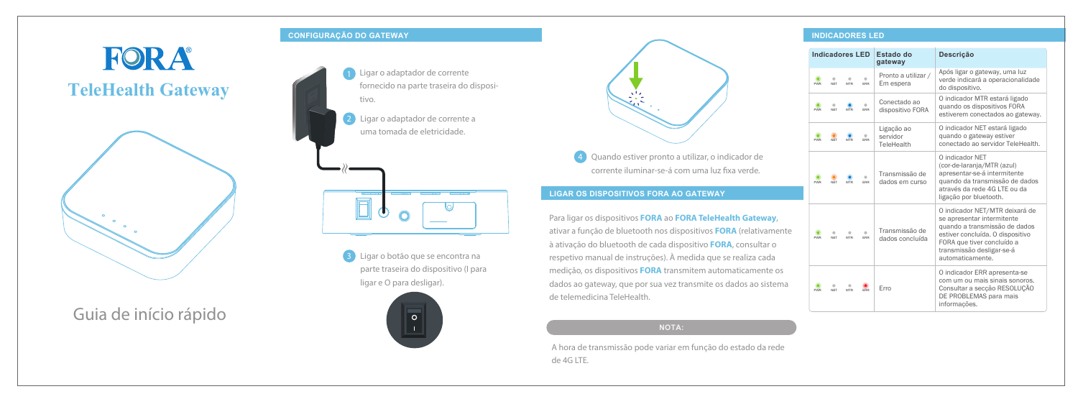Guia de início rápido

### **CONFIGURAÇÃO DO GATEWAY**

# FORA **TeleHealth Gateway**



### **LIGAR OS DISPOSITIVOS FORA AO GATEWAY**

#### **INDICADORES LED**

Para ligar os dispositivos **FORA** ao **FORA TeleHealth Gateway**, ativar a função de bluetooth nos dispositivos **FORA** (relativamente à ativação do bluetooth de cada dispositivo **FORA**, consultar o respetivo manual de instruções). À medida que se realiza cada medição, os dispositivos **FORA** transmitem automaticamente os dados ao gateway, que por sua vez transmite os dados ao sistema de telemedicina TeleHealth.

**3** Ligar o botão que se encontra na parte traseira do dispositivo (I para ligar e O para desligar).





4 Quando estiver pronto a utilizar, o indicador de corrente iluminar-se-á com uma luz fixa verde.

A hora de transmissão pode variar em função do estado da rede de 4G LTE.

- Ligar o adaptador de corrente fornecido na parte traseira do dispositivo.
	- 2 Ligar o adaptador de corrente a uma tomada de eletricidade.



| <b>Indicadores LED</b> |                 |                 |                 | Estado do<br>gateway                 | <b>Descrição</b>                                                                                                                                                                                                 |
|------------------------|-----------------|-----------------|-----------------|--------------------------------------|------------------------------------------------------------------------------------------------------------------------------------------------------------------------------------------------------------------|
| <b>PWR</b>             | ۰<br><b>NFT</b> | ۵<br><b>MTR</b> | ۰<br><b>FRR</b> | Pronto a utilizar /<br>Em espera     | Após ligar o gateway, uma luz<br>verde indicará a operacionalidade<br>do dispositivo.                                                                                                                            |
| <b>PWR</b>             | <b>NFT</b>      | <b>MTR</b>      | <b>FRR</b>      | Conectado ao<br>dispositivo FORA     | O indicador MTR estará ligado<br>quando os dispositivos FORA<br>estiverem conectados ao gateway.                                                                                                                 |
| <b>PWR</b>             | <b>NFT</b>      | <b>MTR</b>      | <b>FRR</b>      | Ligação ao<br>servidor<br>TeleHealth | O indicador NET estará ligado<br>quando o gateway estiver<br>conectado ao servidor TeleHealth.                                                                                                                   |
| <b>PWR</b>             | <b>NFT</b>      | <b>MTR</b>      | <b>FRR</b>      | Transmissão de<br>dados em curso     | O indicador NET<br>(cor-de-laranja/MTR (azul)<br>apresentar-se-á intermitente<br>quando da transmissão de dados<br>através da rede 4G LTE ou da<br>ligação por bluetooth.                                        |
| <b>PWR</b>             | <b>NET</b>      | <b>MTR</b>      | <b>ERR</b>      | Transmissão de<br>dados concluída    | O indicador NET/MTR deixará de<br>se apresentar intermitente<br>quando a transmissão de dados<br>estiver concluída. O dispositivo<br>FORA que tiver concluído a<br>transmissão desligar-se-á<br>automaticamente. |
| <b>PWR</b>             | <b>NFT</b>      | <b>MTR</b>      | <b>FRR</b>      | Erro                                 | O indicador ERR apresenta-se<br>com um ou mais sinais sonoros.<br>Consultar a secção RESOLUÇÃO<br>DE PROBLEMAS para mais<br>informações.                                                                         |

#### **NOTA:**